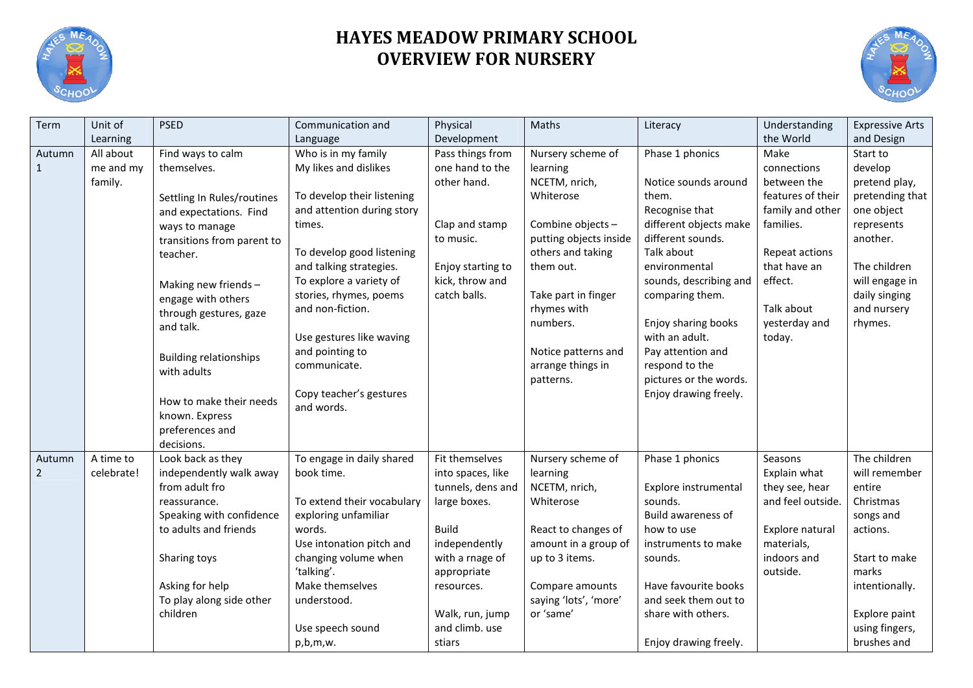

## **HAYES MEADOW PRIMARY SCHOOL OVERVIEW FOR NURSERY**



| Term           | Unit of    | <b>PSED</b>                          | Communication and               | Physical          | Maths                                    | Literacy                                     | Understanding     | <b>Expressive Arts</b>          |
|----------------|------------|--------------------------------------|---------------------------------|-------------------|------------------------------------------|----------------------------------------------|-------------------|---------------------------------|
|                | Learning   |                                      | Language                        | Development       |                                          |                                              | the World         | and Design                      |
| Autumn         | All about  | Find ways to calm                    | Who is in my family             | Pass things from  | Nursery scheme of                        | Phase 1 phonics                              | Make              | Start to                        |
| $\mathbf{1}$   | me and my  | themselves.                          | My likes and dislikes           | one hand to the   | learning                                 |                                              | connections       | develop                         |
|                | family.    |                                      |                                 | other hand.       | NCETM, nrich,                            | Notice sounds around                         | between the       | pretend play,                   |
|                |            | Settling In Rules/routines           | To develop their listening      |                   | Whiterose                                | them.                                        | features of their | pretending that                 |
|                |            | and expectations. Find               | and attention during story      |                   |                                          | Recognise that                               | family and other  | one object                      |
|                |            | ways to manage                       | times.                          | Clap and stamp    | Combine objects -                        | different objects make                       | families.         | represents                      |
|                |            | transitions from parent to           |                                 | to music.         | putting objects inside                   | different sounds.                            |                   | another.                        |
|                |            | teacher.                             | To develop good listening       |                   | others and taking                        | Talk about                                   | Repeat actions    |                                 |
|                |            |                                      | and talking strategies.         | Enjoy starting to | them out.                                | environmental                                | that have an      | The children                    |
|                |            | Making new friends-                  | To explore a variety of         | kick, throw and   |                                          | sounds, describing and                       | effect.           | will engage in                  |
|                |            | engage with others                   | stories, rhymes, poems          | catch balls.      | Take part in finger                      | comparing them.                              |                   | daily singing                   |
|                |            | through gestures, gaze               | and non-fiction.                |                   | rhymes with                              |                                              | Talk about        | and nursery                     |
|                |            | and talk.                            |                                 |                   | numbers.                                 | Enjoy sharing books                          | yesterday and     | rhymes.                         |
|                |            |                                      | Use gestures like waving        |                   |                                          | with an adult.                               | today.            |                                 |
|                |            | <b>Building relationships</b>        | and pointing to<br>communicate. |                   | Notice patterns and<br>arrange things in | Pay attention and<br>respond to the          |                   |                                 |
|                |            | with adults                          |                                 |                   | patterns.                                | pictures or the words.                       |                   |                                 |
|                |            |                                      | Copy teacher's gestures         |                   |                                          | Enjoy drawing freely.                        |                   |                                 |
|                |            | How to make their needs              | and words.                      |                   |                                          |                                              |                   |                                 |
|                |            | known. Express                       |                                 |                   |                                          |                                              |                   |                                 |
|                |            | preferences and                      |                                 |                   |                                          |                                              |                   |                                 |
|                |            | decisions.                           |                                 |                   |                                          |                                              |                   |                                 |
| Autumn         | A time to  | Look back as they                    | To engage in daily shared       | Fit themselves    | Nursery scheme of                        | Phase 1 phonics                              | Seasons           | The children                    |
| $\overline{2}$ | celebrate! | independently walk away              | book time.                      | into spaces, like | learning                                 |                                              | Explain what      | will remember                   |
|                |            | from adult fro                       |                                 | tunnels, dens and | NCETM, nrich,                            | Explore instrumental                         | they see, hear    | entire                          |
|                |            | reassurance.                         | To extend their vocabulary      | large boxes.      | Whiterose                                | sounds.                                      | and feel outside. | Christmas                       |
|                |            | Speaking with confidence             | exploring unfamiliar            |                   |                                          | Build awareness of                           |                   | songs and                       |
|                |            | to adults and friends                | words.                          | <b>Build</b>      | React to changes of                      | how to use                                   | Explore natural   | actions.                        |
|                |            |                                      | Use intonation pitch and        | independently     | amount in a group of                     | instruments to make                          | materials,        |                                 |
|                |            | Sharing toys                         | changing volume when            | with a rnage of   | up to 3 items.                           | sounds.                                      | indoors and       | Start to make                   |
|                |            |                                      | 'talking'.                      | appropriate       |                                          |                                              | outside.          | marks                           |
|                |            | Asking for help                      | Make themselves                 | resources.        | Compare amounts                          | Have favourite books<br>and seek them out to |                   | intentionally.                  |
|                |            | To play along side other<br>children | understood.                     | Walk, run, jump   | saying 'lots', 'more'<br>or 'same'       | share with others.                           |                   |                                 |
|                |            |                                      | Use speech sound                | and climb. use    |                                          |                                              |                   | Explore paint<br>using fingers, |
|                |            |                                      | p,b,m,w.                        |                   |                                          | Enjoy drawing freely.                        |                   | brushes and                     |
|                |            |                                      |                                 | stiars            |                                          |                                              |                   |                                 |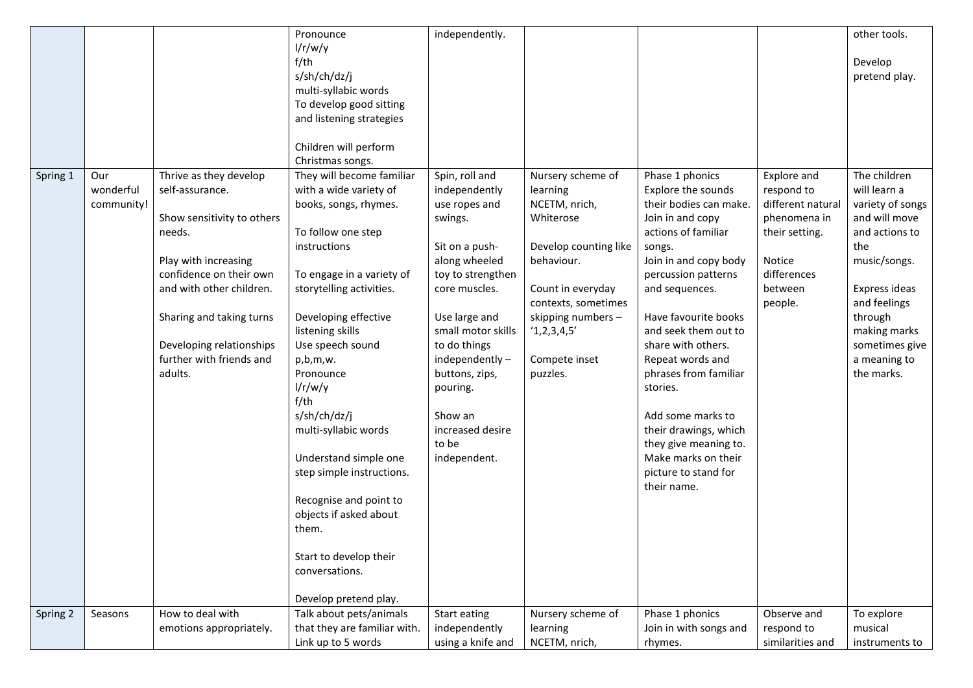| Spring 1 | Our<br>wonderful<br>community! | Thrive as they develop<br>self-assurance.<br>Show sensitivity to others<br>needs.<br>Play with increasing<br>confidence on their own<br>and with other children.<br>Sharing and taking turns<br>Developing relationships<br>further with friends and<br>adults. | Pronounce<br>1/r/w/y<br>$f$ /th<br>s/sh/ch/dz/j<br>multi-syllabic words<br>To develop good sitting<br>and listening strategies<br>Children will perform<br>Christmas songs.<br>They will become familiar<br>with a wide variety of<br>books, songs, rhymes.<br>To follow one step<br>instructions<br>To engage in a variety of<br>storytelling activities.<br>Developing effective<br>listening skills<br>Use speech sound<br>p,b,m,w.<br>Pronounce<br>1/r/w/y<br>$f$ /th<br>s/sh/ch/dz/j<br>multi-syllabic words<br>Understand simple one<br>step simple instructions.<br>Recognise and point to<br>objects if asked about<br>them. | independently.<br>Spin, roll and<br>independently<br>use ropes and<br>swings.<br>Sit on a push-<br>along wheeled<br>toy to strengthen<br>core muscles.<br>Use large and<br>small motor skills<br>to do things<br>independently-<br>buttons, zips,<br>pouring.<br>Show an<br>increased desire<br>to be<br>independent. | Nursery scheme of<br>learning<br>NCETM, nrich,<br>Whiterose<br>Develop counting like<br>behaviour.<br>Count in everyday<br>contexts, sometimes<br>skipping numbers -<br>'1,2,3,4,5'<br>Compete inset<br>puzzles. | Phase 1 phonics<br>Explore the sounds<br>their bodies can make.<br>Join in and copy<br>actions of familiar<br>songs.<br>Join in and copy body<br>percussion patterns<br>and sequences.<br>Have favourite books<br>and seek them out to<br>share with others.<br>Repeat words and<br>phrases from familiar<br>stories.<br>Add some marks to<br>their drawings, which<br>they give meaning to.<br>Make marks on their<br>picture to stand for<br>their name. | Explore and<br>respond to<br>different natural<br>phenomena in<br>their setting.<br>Notice<br>differences<br>between<br>people. | other tools.<br>Develop<br>pretend play.<br>The children<br>will learn a<br>variety of songs<br>and will move<br>and actions to<br>the<br>music/songs.<br>Express ideas<br>and feelings<br>through<br>making marks<br>sometimes give<br>a meaning to<br>the marks. |
|----------|--------------------------------|-----------------------------------------------------------------------------------------------------------------------------------------------------------------------------------------------------------------------------------------------------------------|--------------------------------------------------------------------------------------------------------------------------------------------------------------------------------------------------------------------------------------------------------------------------------------------------------------------------------------------------------------------------------------------------------------------------------------------------------------------------------------------------------------------------------------------------------------------------------------------------------------------------------------|-----------------------------------------------------------------------------------------------------------------------------------------------------------------------------------------------------------------------------------------------------------------------------------------------------------------------|------------------------------------------------------------------------------------------------------------------------------------------------------------------------------------------------------------------|------------------------------------------------------------------------------------------------------------------------------------------------------------------------------------------------------------------------------------------------------------------------------------------------------------------------------------------------------------------------------------------------------------------------------------------------------------|---------------------------------------------------------------------------------------------------------------------------------|--------------------------------------------------------------------------------------------------------------------------------------------------------------------------------------------------------------------------------------------------------------------|
| Spring 2 | Seasons                        | How to deal with                                                                                                                                                                                                                                                | Start to develop their<br>conversations.<br>Develop pretend play.<br>Talk about pets/animals                                                                                                                                                                                                                                                                                                                                                                                                                                                                                                                                         | Start eating                                                                                                                                                                                                                                                                                                          | Nursery scheme of                                                                                                                                                                                                | Phase 1 phonics                                                                                                                                                                                                                                                                                                                                                                                                                                            | Observe and                                                                                                                     | To explore                                                                                                                                                                                                                                                         |
|          |                                | emotions appropriately.                                                                                                                                                                                                                                         | that they are familiar with.<br>Link up to 5 words                                                                                                                                                                                                                                                                                                                                                                                                                                                                                                                                                                                   | independently<br>using a knife and                                                                                                                                                                                                                                                                                    | learning<br>NCETM, nrich,                                                                                                                                                                                        | Join in with songs and<br>rhymes.                                                                                                                                                                                                                                                                                                                                                                                                                          | respond to<br>similarities and                                                                                                  | musical<br>instruments to                                                                                                                                                                                                                                          |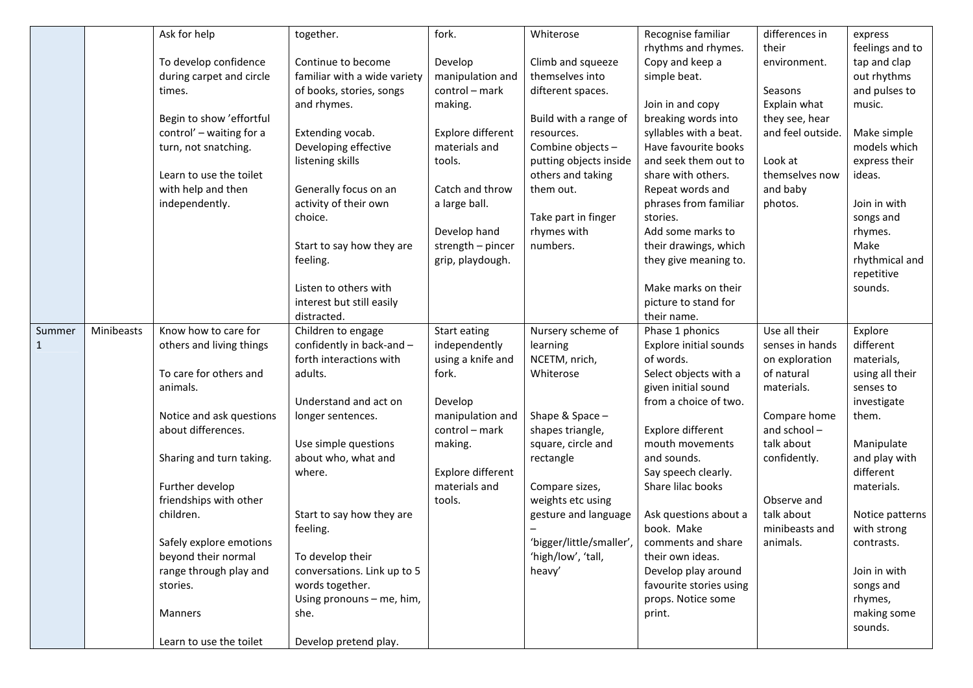|        |            | Ask for help             | together.                     | fork.             | Whiterose                | Recognise familiar                 | differences in    | express                    |
|--------|------------|--------------------------|-------------------------------|-------------------|--------------------------|------------------------------------|-------------------|----------------------------|
|        |            |                          |                               |                   |                          | rhythms and rhymes.                | their             | feelings and to            |
|        |            | To develop confidence    | Continue to become            | Develop           | Climb and squeeze        | Copy and keep a                    | environment.      | tap and clap               |
|        |            | during carpet and circle | familiar with a wide variety  | manipulation and  | themselves into          | simple beat.                       |                   | out rhythms                |
|        |            | times.                   | of books, stories, songs      | control - mark    | difterent spaces.        |                                    | Seasons           | and pulses to              |
|        |            |                          | and rhymes.                   | making.           |                          | Join in and copy                   | Explain what      | music.                     |
|        |            | Begin to show 'effortful |                               |                   | Build with a range of    | breaking words into                | they see, hear    |                            |
|        |            | control' - waiting for a | Extending vocab.              | Explore different | resources.               | syllables with a beat.             | and feel outside. | Make simple                |
|        |            | turn, not snatching.     | Developing effective          | materials and     | Combine objects-         | Have favourite books               |                   | models which               |
|        |            |                          | listening skills              | tools.            | putting objects inside   | and seek them out to               | Look at           | express their              |
|        |            | Learn to use the toilet  |                               |                   | others and taking        | share with others.                 | themselves now    | ideas.                     |
|        |            | with help and then       | Generally focus on an         | Catch and throw   | them out.                | Repeat words and                   | and baby          |                            |
|        |            | independently.           | activity of their own         | a large ball.     |                          | phrases from familiar              | photos.           | Join in with               |
|        |            |                          | choice.                       |                   | Take part in finger      | stories.                           |                   | songs and                  |
|        |            |                          |                               | Develop hand      | rhymes with              | Add some marks to                  |                   | rhymes.                    |
|        |            |                          | Start to say how they are     | strength - pincer | numbers.                 | their drawings, which              |                   | Make                       |
|        |            |                          | feeling.                      | grip, playdough.  |                          | they give meaning to.              |                   | rhythmical and             |
|        |            |                          |                               |                   |                          |                                    |                   | repetitive                 |
|        |            |                          | Listen to others with         |                   |                          | Make marks on their                |                   | sounds.                    |
|        |            |                          | interest but still easily     |                   |                          | picture to stand for               |                   |                            |
|        |            |                          | distracted.                   |                   |                          | their name.                        |                   |                            |
| Summer | Minibeasts | Know how to care for     | Children to engage            | Start eating      | Nursery scheme of        | Phase 1 phonics                    | Use all their     | Explore                    |
| 1      |            | others and living things | confidently in back-and -     | independently     | learning                 | <b>Explore initial sounds</b>      | senses in hands   | different                  |
|        |            |                          | forth interactions with       | using a knife and | NCETM, nrich,            | of words.                          | on exploration    | materials,                 |
|        |            | To care for others and   | adults.                       | fork.             | Whiterose                | Select objects with a              | of natural        | using all their            |
|        |            | animals.                 |                               |                   |                          | given initial sound                | materials.        | senses to                  |
|        |            |                          | Understand and act on         | Develop           |                          | from a choice of two.              |                   | investigate                |
|        |            | Notice and ask questions | longer sentences.             | manipulation and  | Shape & Space -          |                                    | Compare home      | them.                      |
|        |            | about differences.       |                               | control - mark    | shapes triangle,         | Explore different                  | and school-       |                            |
|        |            |                          | Use simple questions          | making.           | square, circle and       | mouth movements                    | talk about        | Manipulate                 |
|        |            | Sharing and turn taking. | about who, what and<br>where. | Explore different | rectangle                | and sounds.<br>Say speech clearly. | confidently.      | and play with<br>different |
|        |            | Further develop          |                               | materials and     | Compare sizes,           | Share lilac books                  |                   | materials.                 |
|        |            | friendships with other   |                               | tools.            | weights etc using        |                                    | Observe and       |                            |
|        |            | children.                | Start to say how they are     |                   | gesture and language     | Ask questions about a              | talk about        | Notice patterns            |
|        |            |                          | feeling.                      |                   |                          | book. Make                         | minibeasts and    | with strong                |
|        |            | Safely explore emotions  |                               |                   | 'bigger/little/smaller', | comments and share                 | animals.          | contrasts.                 |
|        |            | beyond their normal      | To develop their              |                   | 'high/low', 'tall,       | their own ideas.                   |                   |                            |
|        |            | range through play and   | conversations. Link up to 5   |                   | heavy'                   | Develop play around                |                   | Join in with               |
|        |            | stories.                 | words together.               |                   |                          | favourite stories using            |                   | songs and                  |
|        |            |                          | Using pronouns - me, him,     |                   |                          | props. Notice some                 |                   | rhymes,                    |
|        |            | <b>Manners</b>           | she.                          |                   |                          | print.                             |                   | making some                |
|        |            |                          |                               |                   |                          |                                    |                   | sounds.                    |
|        |            | Learn to use the toilet  | Develop pretend play.         |                   |                          |                                    |                   |                            |